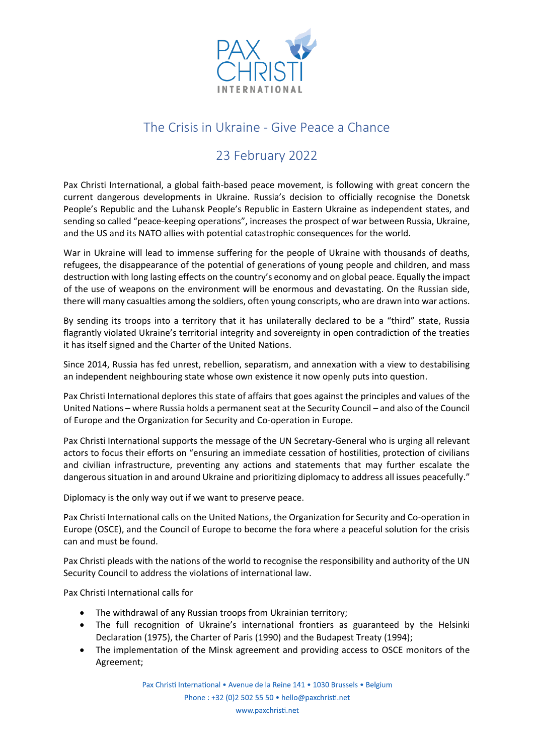

## The Crisis in Ukraine - Give Peace a Chance

## 23 February 2022

Pax Christi International, a global faith-based peace movement, is following with great concern the current dangerous developments in Ukraine. Russia's decision to officially recognise the Donetsk People's Republic and the Luhansk People's Republic in Eastern Ukraine as independent states, and sending so called "peace-keeping operations", increases the prospect of war between Russia, Ukraine, and the US and its NATO allies with potential catastrophic consequences for the world.

War in Ukraine will lead to immense suffering for the people of Ukraine with thousands of deaths, refugees, the disappearance of the potential of generations of young people and children, and mass destruction with long lasting effects on the country's economy and on global peace. Equally the impact of the use of weapons on the environment will be enormous and devastating. On the Russian side, there will many casualties among the soldiers, often young conscripts, who are drawn into war actions.

By sending its troops into a territory that it has unilaterally declared to be a "third" state, Russia flagrantly violated Ukraine's territorial integrity and sovereignty in open contradiction of the treaties it has itself signed and the Charter of the United Nations.

Since 2014, Russia has fed unrest, rebellion, separatism, and annexation with a view to destabilising an independent neighbouring state whose own existence it now openly puts into question.

Pax Christi International deplores this state of affairs that goes against the principles and values of the United Nations – where Russia holds a permanent seat at the Security Council – and also of the Council of Europe and the Organization for Security and Co-operation in Europe.

Pax Christi International supports the message of the UN Secretary-General who is urging all relevant actors to focus their efforts on "ensuring an immediate cessation of hostilities, protection of civilians and civilian infrastructure, preventing any actions and statements that may further escalate the dangerous situation in and around Ukraine and prioritizing diplomacy to address all issues peacefully."

Diplomacy is the only way out if we want to preserve peace.

Pax Christi International calls on the United Nations, the Organization for Security and Co-operation in Europe (OSCE), and the Council of Europe to become the fora where a peaceful solution for the crisis can and must be found.

Pax Christi pleads with the nations of the world to recognise the responsibility and authority of the UN Security Council to address the violations of international law.

Pax Christi International calls for

- The withdrawal of any Russian troops from Ukrainian territory;
- The full recognition of Ukraine's international frontiers as guaranteed by the Helsinki Declaration (1975), the Charter of Paris (1990) and the Budapest Treaty (1994);
- The implementation of the Minsk agreement and providing access to OSCE monitors of the Agreement;

Pax Christi International • Avenue de la Reine 141 • 1030 Brussels • Belgium

Phone: +32 (0)2 502 55 50 • hello@paxchristi.net